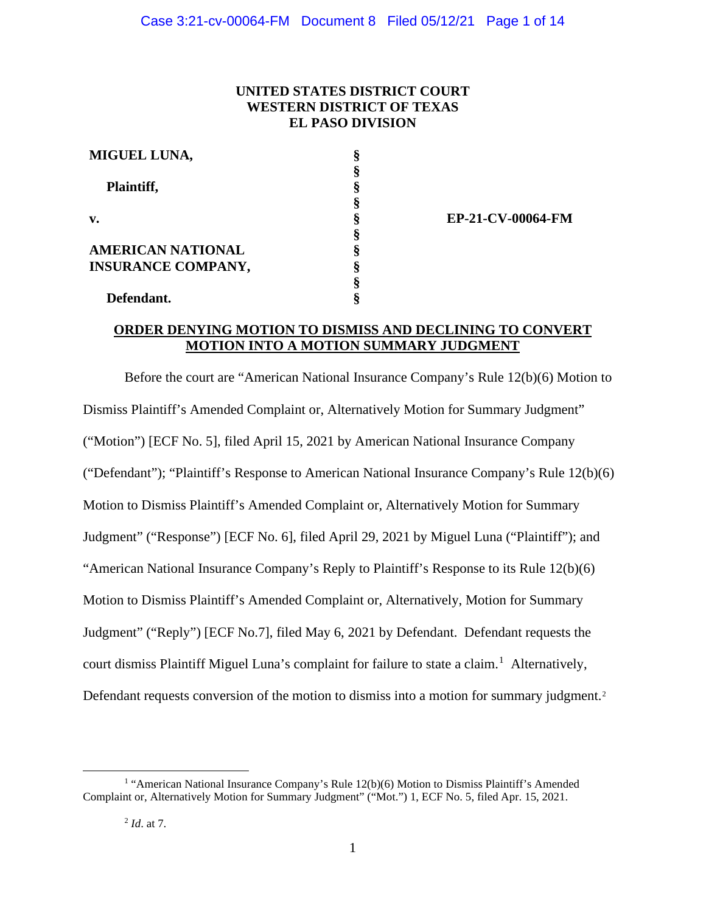# **UNITED STATES DISTRICT COURT WESTERN DISTRICT OF TEXAS EL PASO DIVISION**

| MIGUEL LUNA,              |   |
|---------------------------|---|
|                           |   |
| Plaintiff,                |   |
|                           |   |
| v.                        |   |
|                           |   |
| AMERICAN NATIONAL         |   |
| <b>INSURANCE COMPANY,</b> |   |
|                           | 8 |
| Defendant.                |   |

**EP-21-CV-00064-FM**

# **ORDER DENYING MOTION TO DISMISS AND DECLINING TO CONVERT MOTION INTO A MOTION SUMMARY JUDGMENT**

Before the court are "American National Insurance Company's Rule 12(b)(6) Motion to Dismiss Plaintiff's Amended Complaint or, Alternatively Motion for Summary Judgment" ("Motion") [ECF No. 5], filed April 15, 2021 by American National Insurance Company ("Defendant"); "Plaintiff's Response to American National Insurance Company's Rule 12(b)(6) Motion to Dismiss Plaintiff's Amended Complaint or, Alternatively Motion for Summary Judgment" ("Response") [ECF No. 6], filed April 29, 2021 by Miguel Luna ("Plaintiff"); and "American National Insurance Company's Reply to Plaintiff's Response to its Rule 12(b)(6) Motion to Dismiss Plaintiff's Amended Complaint or, Alternatively, Motion for Summary Judgment" ("Reply") [ECF No.7], filed May 6, 2021 by Defendant. Defendant requests the court dismiss Plaintiff Miguel Luna's complaint for failure to state a claim. 1 Alternatively, Defendant requests conversion of the motion to dismiss into a motion for summary judgment.<sup>2</sup>

<sup>&</sup>lt;sup>1</sup> "American National Insurance Company's Rule  $12(b)(6)$  Motion to Dismiss Plaintiff's Amended Complaint or, Alternatively Motion for Summary Judgment" ("Mot.") 1, ECF No. 5, filed Apr. 15, 2021.

<sup>2</sup> *Id*. at 7.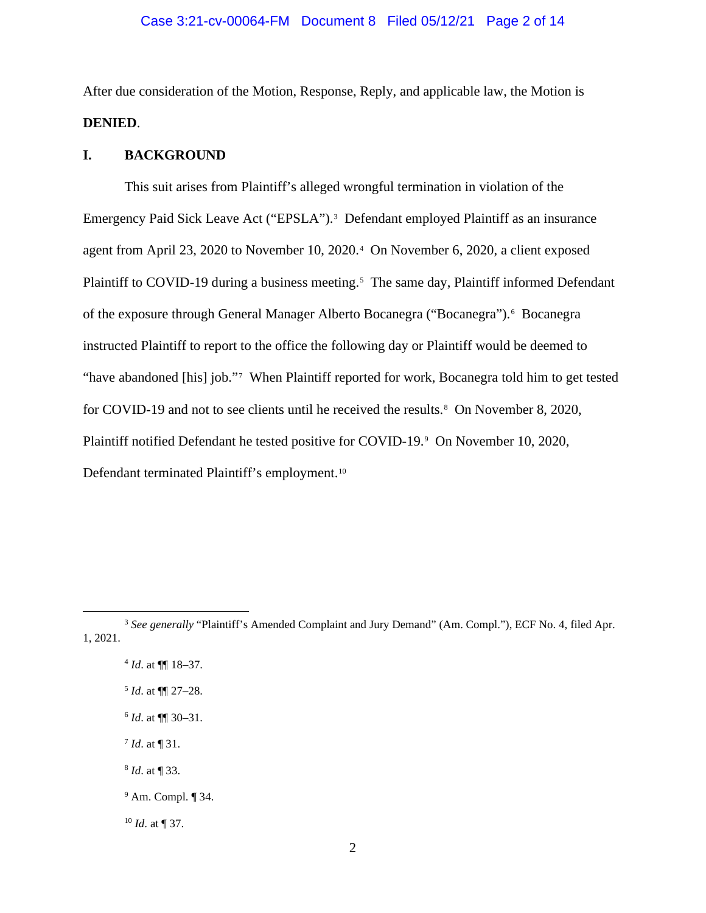## Case 3:21-cv-00064-FM Document 8 Filed 05/12/21 Page 2 of 14

After due consideration of the Motion, Response, Reply, and applicable law, the Motion is **DENIED**.

## **I. BACKGROUND**

This suit arises from Plaintiff's alleged wrongful termination in violation of the Emergency Paid Sick Leave Act ("EPSLA").<sup>3</sup> Defendant employed Plaintiff as an insurance agent from April 23, 2020 to November 10, 2020.<sup>4</sup> On November 6, 2020, a client exposed Plaintiff to COVID-19 during a business meeting.<sup>5</sup> The same day, Plaintiff informed Defendant of the exposure through General Manager Alberto Bocanegra ("Bocanegra").<sup>6</sup> Bocanegra instructed Plaintiff to report to the office the following day or Plaintiff would be deemed to "have abandoned [his] job."7 When Plaintiff reported for work, Bocanegra told him to get tested for COVID-19 and not to see clients until he received the results.<sup>8</sup> On November 8, 2020, Plaintiff notified Defendant he tested positive for COVID-19.<sup>9</sup> On November 10, 2020, Defendant terminated Plaintiff's employment.10

<sup>&</sup>lt;sup>3</sup> See generally "Plaintiff's Amended Complaint and Jury Demand" (Am. Compl."), ECF No. 4, filed Apr. 1, 2021.

<sup>4</sup> *Id*. at ¶¶ 18–37.

<sup>5</sup> *Id*. at ¶¶ 27–28.

<sup>6</sup> *Id*. at ¶¶ 30–31.

<sup>7</sup> *Id*. at ¶ 31.

 <sup>8</sup> *Id*. at ¶ 33.

<sup>9</sup> Am. Compl. ¶ 34.

<sup>10</sup> *Id*. at ¶ 37.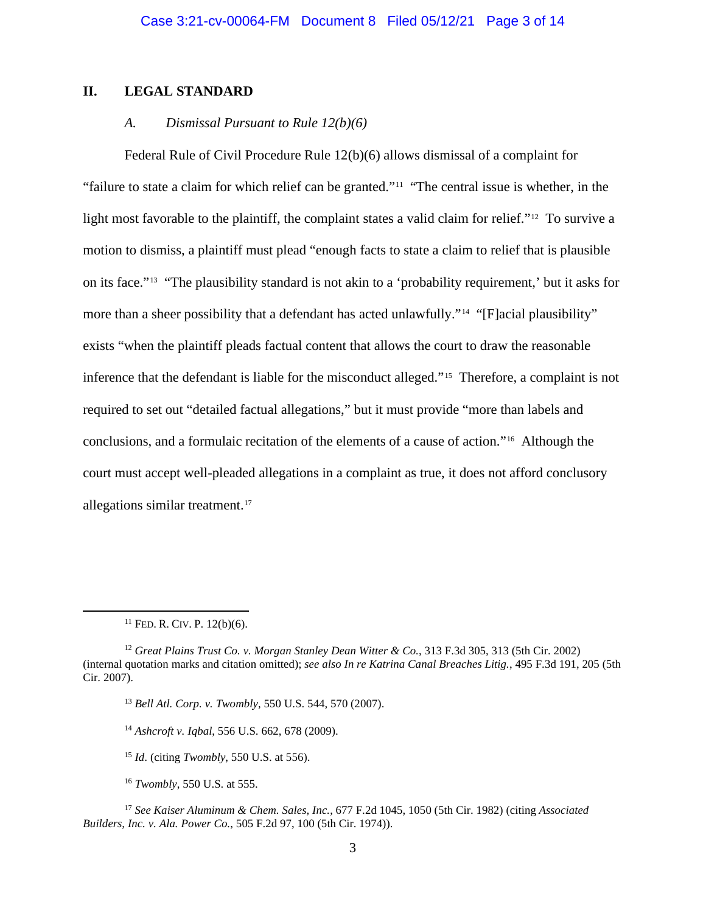# **II. LEGAL STANDARD**

### *A. Dismissal Pursuant to Rule 12(b)(6)*

 Federal Rule of Civil Procedure Rule 12(b)(6) allows dismissal of a complaint for "failure to state a claim for which relief can be granted."11"The central issue is whether, in the light most favorable to the plaintiff, the complaint states a valid claim for relief."<sup>12</sup> To survive a motion to dismiss, a plaintiff must plead "enough facts to state a claim to relief that is plausible on its face."13 "The plausibility standard is not akin to a 'probability requirement,' but it asks for more than a sheer possibility that a defendant has acted unlawfully."<sup>14</sup> "[F]acial plausibility" exists "when the plaintiff pleads factual content that allows the court to draw the reasonable inference that the defendant is liable for the misconduct alleged."15 Therefore, a complaint is not required to set out "detailed factual allegations," but it must provide "more than labels and conclusions, and a formulaic recitation of the elements of a cause of action."16 Although the court must accept well-pleaded allegations in a complaint as true, it does not afford conclusory allegations similar treatment.<sup>17</sup>

 $11$  FED. R. CIV. P. 12(b)(6).

<sup>12</sup> *Great Plains Trust Co. v. Morgan Stanley Dean Witter & Co.*, 313 F.3d 305, 313 (5th Cir. 2002) (internal quotation marks and citation omitted); *see also In re Katrina Canal Breaches Litig.*, 495 F.3d 191, 205 (5th Cir. 2007).

<sup>13</sup> *Bell Atl. Corp. v. Twombly*, 550 U.S. 544, 570 (2007).

<sup>14</sup> *Ashcroft v. Iqbal*, 556 U.S. 662, 678 (2009).

<sup>15</sup> *Id*. (citing *Twombly*, 550 U.S. at 556).

<sup>16</sup> *Twombly*, 550 U.S. at 555.

<sup>17</sup> *See Kaiser Aluminum & Chem. Sales, Inc.*, 677 F.2d 1045, 1050 (5th Cir. 1982) (citing *Associated Builders, Inc. v. Ala. Power Co.*, 505 F.2d 97, 100 (5th Cir. 1974)).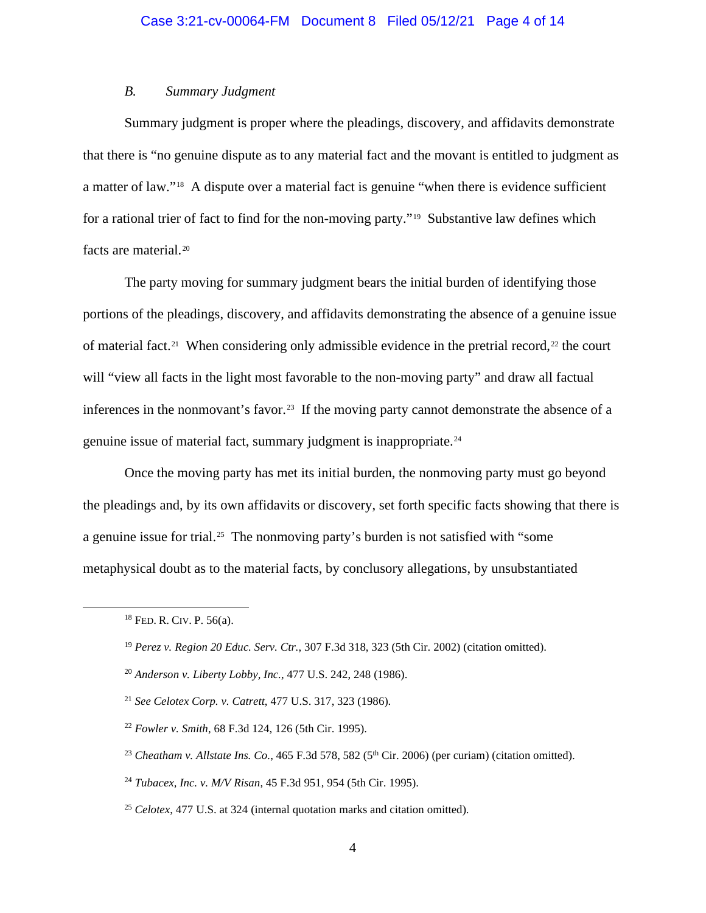# *B. Summary Judgment*

Summary judgment is proper where the pleadings, discovery, and affidavits demonstrate that there is "no genuine dispute as to any material fact and the movant is entitled to judgment as a matter of law."18 A dispute over a material fact is genuine "when there is evidence sufficient for a rational trier of fact to find for the non-moving party."19 Substantive law defines which facts are material.20

 The party moving for summary judgment bears the initial burden of identifying those portions of the pleadings, discovery, and affidavits demonstrating the absence of a genuine issue of material fact.<sup>21</sup> When considering only admissible evidence in the pretrial record,<sup>22</sup> the court will "view all facts in the light most favorable to the non-moving party" and draw all factual inferences in the nonmovant's favor.<sup>23</sup> If the moving party cannot demonstrate the absence of a genuine issue of material fact, summary judgment is inappropriate.24

 Once the moving party has met its initial burden, the nonmoving party must go beyond the pleadings and, by its own affidavits or discovery, set forth specific facts showing that there is a genuine issue for trial.<sup>25</sup> The nonmoving party's burden is not satisfied with "some metaphysical doubt as to the material facts, by conclusory allegations, by unsubstantiated

<sup>18</sup> FED. R. CIV. P. 56(a).

<sup>19</sup> *Perez v. Region 20 Educ. Serv. Ctr.*, 307 F.3d 318, 323 (5th Cir. 2002) (citation omitted).

<sup>20</sup> *Anderson v. Liberty Lobby, Inc.*, 477 U.S. 242, 248 (1986).

<sup>21</sup> *See Celotex Corp. v. Catrett*, 477 U.S. 317, 323 (1986).

<sup>22</sup> *Fowler v. Smith*, 68 F.3d 124, 126 (5th Cir. 1995).

<sup>&</sup>lt;sup>23</sup> *Cheatham v. Allstate Ins. Co.*, 465 F.3d 578, 582 (5<sup>th</sup> Cir. 2006) (per curiam) (citation omitted).

<sup>24</sup> *Tubacex, Inc. v. M/V Risan*, 45 F.3d 951, 954 (5th Cir. 1995).

<sup>25</sup> *Celotex*, 477 U.S. at 324 (internal quotation marks and citation omitted).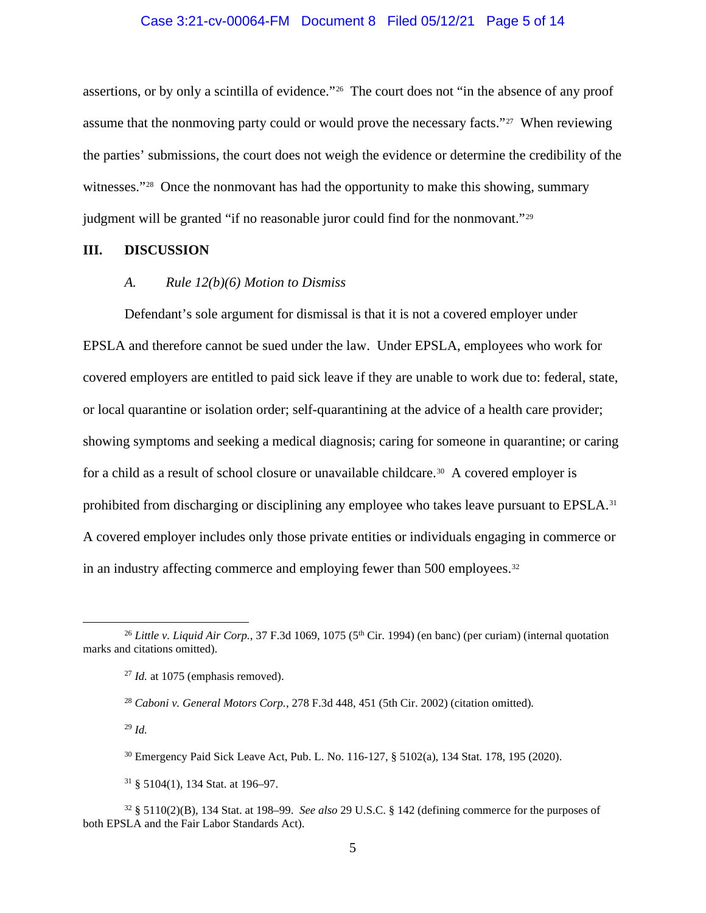#### Case 3:21-cv-00064-FM Document 8 Filed 05/12/21 Page 5 of 14

assertions, or by only a scintilla of evidence."26 The court does not "in the absence of any proof assume that the nonmoving party could or would prove the necessary facts."<sup>27</sup> When reviewing the parties' submissions, the court does not weigh the evidence or determine the credibility of the witnesses."<sup>28</sup> Once the nonmovant has had the opportunity to make this showing, summary judgment will be granted "if no reasonable juror could find for the nonmovant."29

#### **III. DISCUSSION**

## *A. Rule 12(b)(6) Motion to Dismiss*

 Defendant's sole argument for dismissal is that it is not a covered employer under EPSLA and therefore cannot be sued under the law. Under EPSLA, employees who work for covered employers are entitled to paid sick leave if they are unable to work due to: federal, state, or local quarantine or isolation order; self-quarantining at the advice of a health care provider; showing symptoms and seeking a medical diagnosis; caring for someone in quarantine; or caring for a child as a result of school closure or unavailable childcare.<sup>30</sup> A covered employer is prohibited from discharging or disciplining any employee who takes leave pursuant to EPSLA.<sup>31</sup> A covered employer includes only those private entities or individuals engaging in commerce or in an industry affecting commerce and employing fewer than 500 employees.<sup>32</sup>

<sup>29</sup> *Id.*

<sup>&</sup>lt;sup>26</sup> *Little v. Liquid Air Corp.*, 37 F.3d 1069, 1075 (5<sup>th</sup> Cir. 1994) (en banc) (per curiam) (internal quotation marks and citations omitted).

<sup>&</sup>lt;sup>27</sup> *Id.* at 1075 (emphasis removed).

<sup>28</sup> *Caboni v. General Motors Corp.*, 278 F.3d 448, 451 (5th Cir. 2002) (citation omitted).

<sup>30</sup> Emergency Paid Sick Leave Act, Pub. L. No. 116-127, § 5102(a), 134 Stat. 178, 195 (2020).

<sup>31</sup> § 5104(1), 134 Stat. at 196–97.

<sup>32</sup> § 5110(2)(B), 134 Stat. at 198–99. *See also* 29 U.S.C. § 142 (defining commerce for the purposes of both EPSLA and the Fair Labor Standards Act).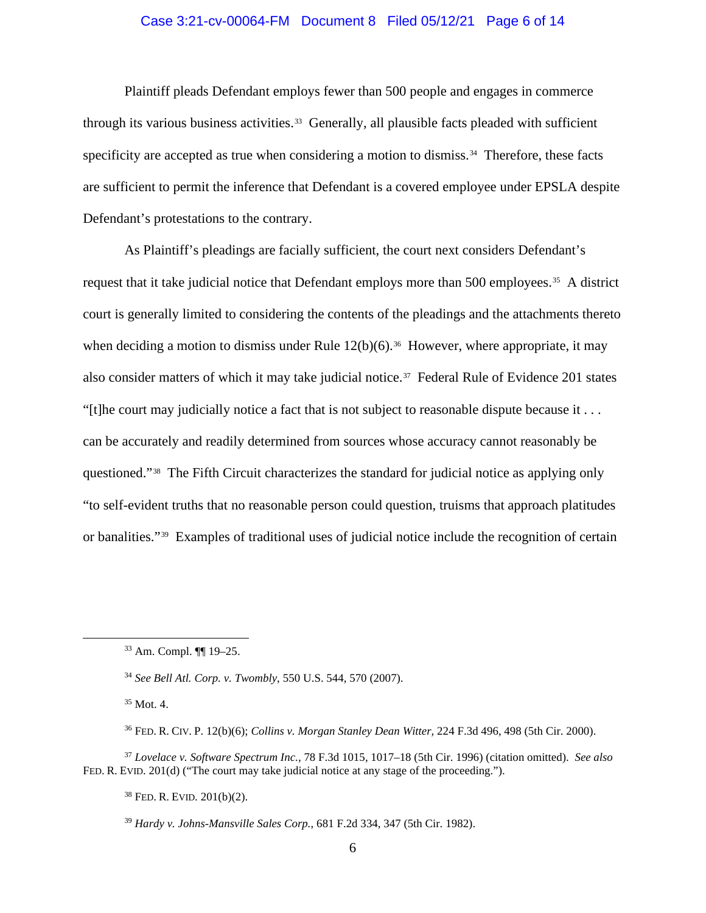## Case 3:21-cv-00064-FM Document 8 Filed 05/12/21 Page 6 of 14

 Plaintiff pleads Defendant employs fewer than 500 people and engages in commerce through its various business activities.<sup>33</sup> Generally, all plausible facts pleaded with sufficient specificity are accepted as true when considering a motion to dismiss.<sup>34</sup> Therefore, these facts are sufficient to permit the inference that Defendant is a covered employee under EPSLA despite Defendant's protestations to the contrary.

As Plaintiff's pleadings are facially sufficient, the court next considers Defendant's request that it take judicial notice that Defendant employs more than 500 employees.<sup>35</sup> A district court is generally limited to considering the contents of the pleadings and the attachments thereto when deciding a motion to dismiss under Rule  $12(b)(6)$ .<sup>36</sup> However, where appropriate, it may also consider matters of which it may take judicial notice.<sup>37</sup> Federal Rule of Evidence 201 states "[t]he court may judicially notice a fact that is not subject to reasonable dispute because it . . . can be accurately and readily determined from sources whose accuracy cannot reasonably be questioned."38 The Fifth Circuit characterizes the standard for judicial notice as applying only "to self-evident truths that no reasonable person could question, truisms that approach platitudes or banalities."39 Examples of traditional uses of judicial notice include the recognition of certain

38 FED. R. EVID. 201(b)(2).

<sup>33</sup> Am. Compl. ¶¶ 19–25.

<sup>34</sup> *See Bell Atl. Corp. v. Twombly*, 550 U.S. 544, 570 (2007).

 $35$  Mot. 4.

<sup>36</sup> FED. R. CIV. P. 12(b)(6); *Collins v. Morgan Stanley Dean Witter,* 224 F.3d 496, 498 (5th Cir. 2000).

<sup>37</sup> *Lovelace v. Software Spectrum Inc.,* 78 F.3d 1015, 1017–18 (5th Cir. 1996) (citation omitted). *See also*  FED. R. EVID. 201(d) ("The court may take judicial notice at any stage of the proceeding.").

<sup>39</sup> *Hardy v. Johns-Mansville Sales Corp.*, 681 F.2d 334, 347 (5th Cir. 1982).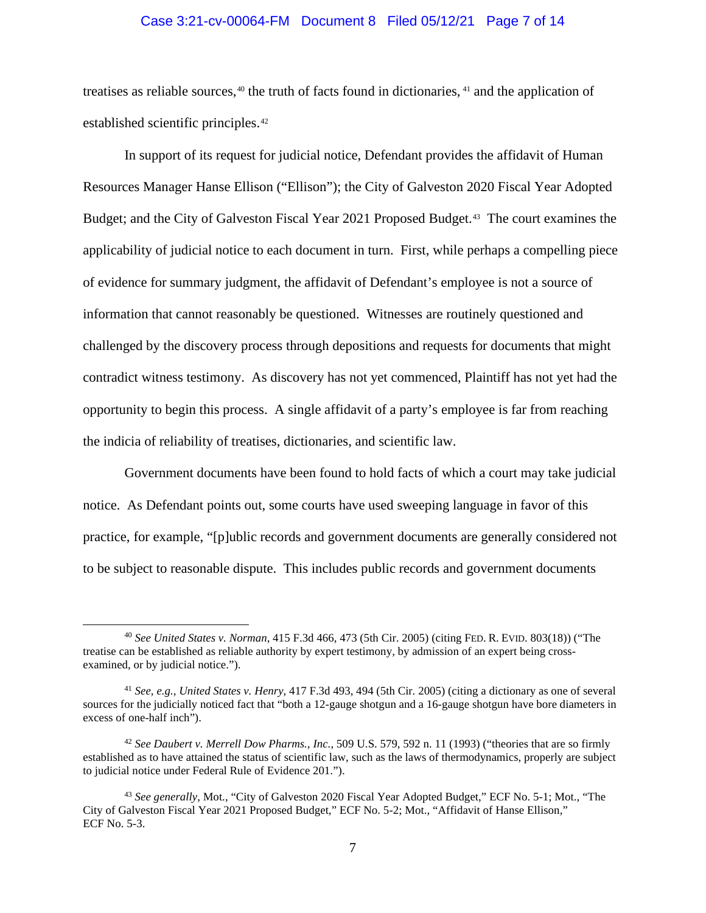### Case 3:21-cv-00064-FM Document 8 Filed 05/12/21 Page 7 of 14

treatises as reliable sources,<sup>40</sup> the truth of facts found in dictionaries, <sup>41</sup> and the application of established scientific principles.42

In support of its request for judicial notice, Defendant provides the affidavit of Human Resources Manager Hanse Ellison ("Ellison"); the City of Galveston 2020 Fiscal Year Adopted Budget; and the City of Galveston Fiscal Year 2021 Proposed Budget.<sup>43</sup> The court examines the applicability of judicial notice to each document in turn. First, while perhaps a compelling piece of evidence for summary judgment, the affidavit of Defendant's employee is not a source of information that cannot reasonably be questioned. Witnesses are routinely questioned and challenged by the discovery process through depositions and requests for documents that might contradict witness testimony. As discovery has not yet commenced, Plaintiff has not yet had the opportunity to begin this process. A single affidavit of a party's employee is far from reaching the indicia of reliability of treatises, dictionaries, and scientific law.

 Government documents have been found to hold facts of which a court may take judicial notice. As Defendant points out, some courts have used sweeping language in favor of this practice, for example, "[p]ublic records and government documents are generally considered not to be subject to reasonable dispute. This includes public records and government documents

<sup>40</sup> *See United States v. Norman*, 415 F.3d 466, 473 (5th Cir. 2005) (citing FED. R. EVID. 803(18)) ("The treatise can be established as reliable authority by expert testimony, by admission of an expert being crossexamined, or by judicial notice.").

<sup>41</sup> *See, e.g.*, *United States v. Henry*, 417 F.3d 493, 494 (5th Cir. 2005) (citing a dictionary as one of several sources for the judicially noticed fact that "both a 12-gauge shotgun and a 16-gauge shotgun have bore diameters in excess of one-half inch").

<sup>42</sup> *See Daubert v. Merrell Dow Pharms., Inc.*, 509 U.S. 579, 592 n. 11 (1993) ("theories that are so firmly established as to have attained the status of scientific law, such as the laws of thermodynamics, properly are subject to judicial notice under Federal Rule of Evidence 201.").

<sup>43</sup> *See generally*, Mot., "City of Galveston 2020 Fiscal Year Adopted Budget," ECF No. 5-1; Mot., "The City of Galveston Fiscal Year 2021 Proposed Budget," ECF No. 5-2; Mot., "Affidavit of Hanse Ellison," ECF No. 5-3.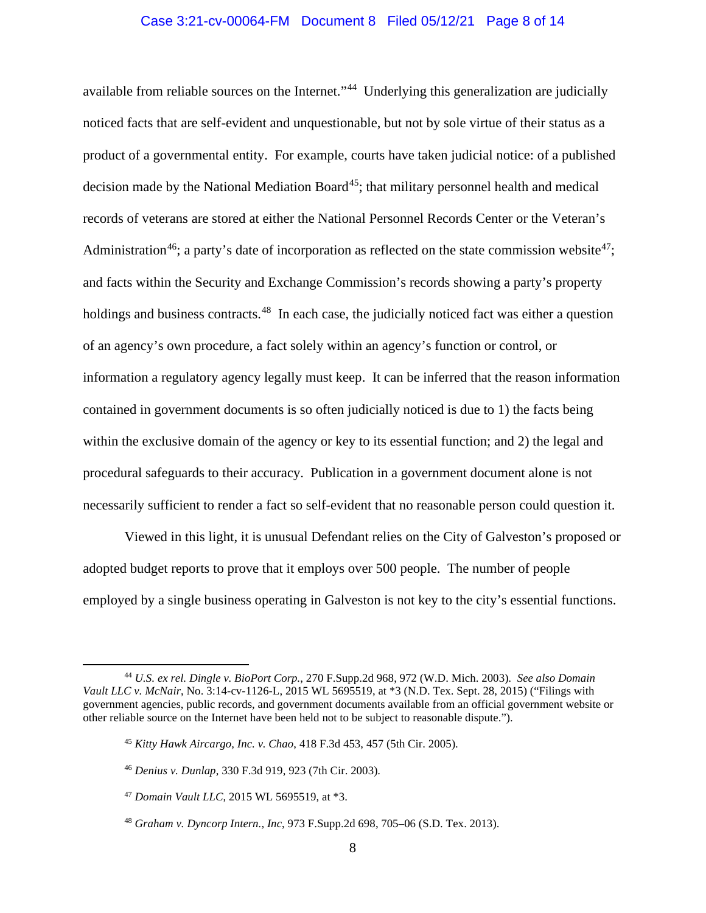#### Case 3:21-cv-00064-FM Document 8 Filed 05/12/21 Page 8 of 14

available from reliable sources on the Internet."<sup>44</sup> Underlying this generalization are judicially noticed facts that are self-evident and unquestionable, but not by sole virtue of their status as a product of a governmental entity. For example, courts have taken judicial notice: of a published decision made by the National Mediation  $Board^{45}$ ; that military personnel health and medical records of veterans are stored at either the National Personnel Records Center or the Veteran's Administration<sup>46</sup>; a party's date of incorporation as reflected on the state commission website<sup>47</sup>; and facts within the Security and Exchange Commission's records showing a party's property holdings and business contracts.<sup>48</sup> In each case, the judicially noticed fact was either a question of an agency's own procedure, a fact solely within an agency's function or control, or information a regulatory agency legally must keep. It can be inferred that the reason information contained in government documents is so often judicially noticed is due to 1) the facts being within the exclusive domain of the agency or key to its essential function; and 2) the legal and procedural safeguards to their accuracy. Publication in a government document alone is not necessarily sufficient to render a fact so self-evident that no reasonable person could question it.

Viewed in this light, it is unusual Defendant relies on the City of Galveston's proposed or adopted budget reports to prove that it employs over 500 people. The number of people employed by a single business operating in Galveston is not key to the city's essential functions.

<sup>44</sup> *U.S. ex rel. Dingle v. BioPort Corp.*, 270 F.Supp.2d 968, 972 (W.D. Mich. 2003). *See also Domain Vault LLC v. McNair*, No. 3:14-cv-1126-L, 2015 WL 5695519, at \*3 (N.D. Tex. Sept. 28, 2015) ("Filings with government agencies, public records, and government documents available from an official government website or other reliable source on the Internet have been held not to be subject to reasonable dispute.").

<sup>45</sup> *Kitty Hawk Aircargo, Inc. v. Chao*, 418 F.3d 453, 457 (5th Cir. 2005).

<sup>46</sup> *Denius v. Dunlap*, 330 F.3d 919, 923 (7th Cir. 2003).

<sup>47</sup> *Domain Vault LLC*, 2015 WL 5695519, at \*3.

<sup>48</sup> *Graham v. Dyncorp Intern., Inc*, 973 F.Supp.2d 698, 705–06 (S.D. Tex. 2013).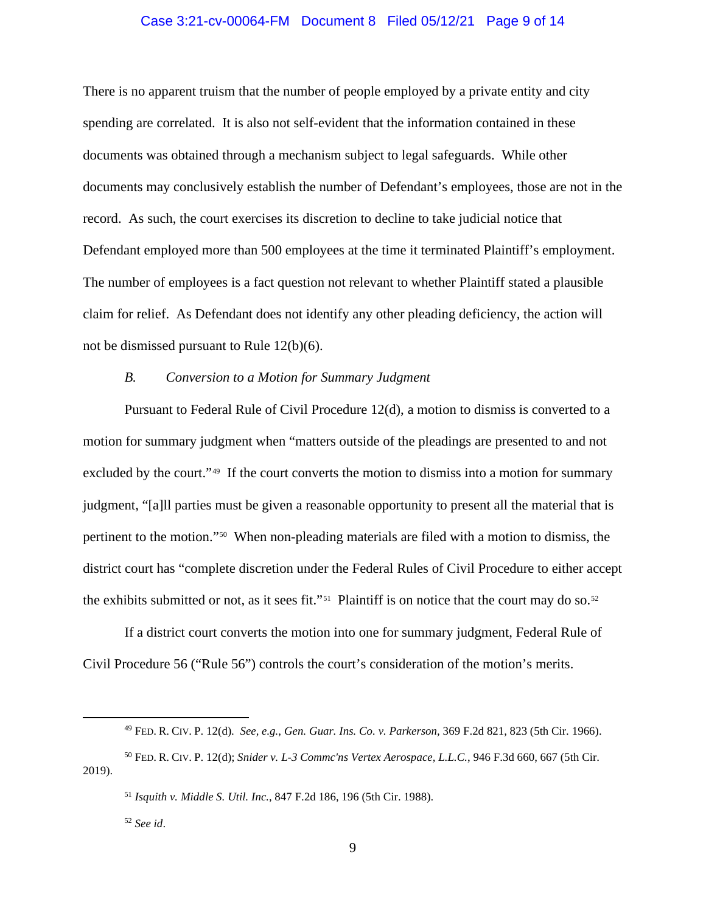## Case 3:21-cv-00064-FM Document 8 Filed 05/12/21 Page 9 of 14

There is no apparent truism that the number of people employed by a private entity and city spending are correlated. It is also not self-evident that the information contained in these documents was obtained through a mechanism subject to legal safeguards. While other documents may conclusively establish the number of Defendant's employees, those are not in the record. As such, the court exercises its discretion to decline to take judicial notice that Defendant employed more than 500 employees at the time it terminated Plaintiff's employment. The number of employees is a fact question not relevant to whether Plaintiff stated a plausible claim for relief. As Defendant does not identify any other pleading deficiency, the action will not be dismissed pursuant to Rule 12(b)(6).

#### *B. Conversion to a Motion for Summary Judgment*

 Pursuant to Federal Rule of Civil Procedure 12(d), a motion to dismiss is converted to a motion for summary judgment when "matters outside of the pleadings are presented to and not excluded by the court."<sup>49</sup> If the court converts the motion to dismiss into a motion for summary judgment, "[a]ll parties must be given a reasonable opportunity to present all the material that is pertinent to the motion."50 When non-pleading materials are filed with a motion to dismiss, the district court has "complete discretion under the Federal Rules of Civil Procedure to either accept the exhibits submitted or not, as it sees fit."<sup>51</sup> Plaintiff is on notice that the court may do so.<sup>52</sup>

 If a district court converts the motion into one for summary judgment, Federal Rule of Civil Procedure 56 ("Rule 56") controls the court's consideration of the motion's merits.

<sup>49</sup> FED. R. CIV. P. 12(d). *See, e.g.*, *Gen. Guar. Ins. Co. v. Parkerson,* 369 F.2d 821, 823 (5th Cir. 1966).

<sup>50</sup> FED. R. CIV. P. 12(d); *Snider v. L-3 Commc'ns Vertex Aerospace, L.L.C.*, 946 F.3d 660, 667 (5th Cir. 2019).

<sup>51</sup> *Isquith v. Middle S. Util. Inc.*, 847 F.2d 186, 196 (5th Cir. 1988).

<sup>52</sup> *See id*.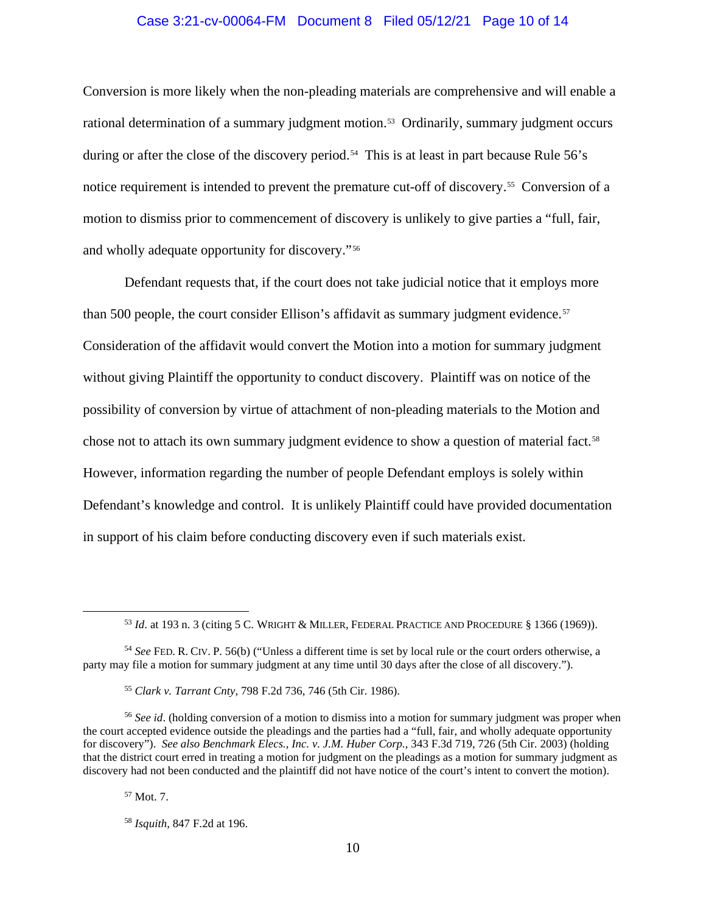## Case 3:21-cv-00064-FM Document 8 Filed 05/12/21 Page 10 of 14

Conversion is more likely when the non-pleading materials are comprehensive and will enable a rational determination of a summary judgment motion.<sup>53</sup> Ordinarily, summary judgment occurs during or after the close of the discovery period.<sup>54</sup> This is at least in part because Rule 56's notice requirement is intended to prevent the premature cut-off of discovery.55 Conversion of a motion to dismiss prior to commencement of discovery is unlikely to give parties a "full, fair, and wholly adequate opportunity for discovery."56

Defendant requests that, if the court does not take judicial notice that it employs more than 500 people, the court consider Ellison's affidavit as summary judgment evidence.<sup>57</sup> Consideration of the affidavit would convert the Motion into a motion for summary judgment without giving Plaintiff the opportunity to conduct discovery. Plaintiff was on notice of the possibility of conversion by virtue of attachment of non-pleading materials to the Motion and chose not to attach its own summary judgment evidence to show a question of material fact.58 However, information regarding the number of people Defendant employs is solely within Defendant's knowledge and control. It is unlikely Plaintiff could have provided documentation in support of his claim before conducting discovery even if such materials exist.

<sup>57</sup> Mot. 7.

<sup>53</sup> *Id*. at 193 n. 3 (citing 5 C. WRIGHT & MILLER, FEDERAL PRACTICE AND PROCEDURE § 1366 (1969)).

<sup>54</sup> *See* FED. R. CIV. P. 56(b) ("Unless a different time is set by local rule or the court orders otherwise, a party may file a motion for summary judgment at any time until 30 days after the close of all discovery.").

<sup>55</sup> *Clark v. Tarrant Cnty,* 798 F.2d 736, 746 (5th Cir. 1986).

<sup>&</sup>lt;sup>56</sup> See id. (holding conversion of a motion to dismiss into a motion for summary judgment was proper when the court accepted evidence outside the pleadings and the parties had a "full, fair, and wholly adequate opportunity for discovery"). *See also Benchmark Elecs., Inc. v. J.M. Huber Corp.*, 343 F.3d 719, 726 (5th Cir. 2003) (holding that the district court erred in treating a motion for judgment on the pleadings as a motion for summary judgment as discovery had not been conducted and the plaintiff did not have notice of the court's intent to convert the motion).

<sup>58</sup> *Isquith*, 847 F.2d at 196.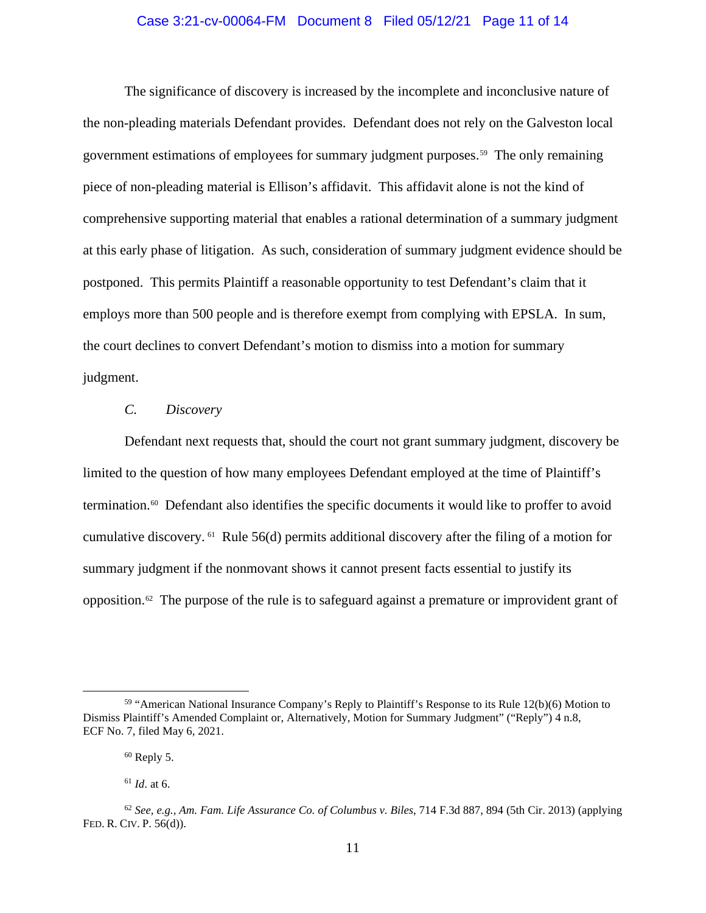## Case 3:21-cv-00064-FM Document 8 Filed 05/12/21 Page 11 of 14

The significance of discovery is increased by the incomplete and inconclusive nature of the non-pleading materials Defendant provides. Defendant does not rely on the Galveston local government estimations of employees for summary judgment purposes.59 The only remaining piece of non-pleading material is Ellison's affidavit. This affidavit alone is not the kind of comprehensive supporting material that enables a rational determination of a summary judgment at this early phase of litigation. As such, consideration of summary judgment evidence should be postponed. This permits Plaintiff a reasonable opportunity to test Defendant's claim that it employs more than 500 people and is therefore exempt from complying with EPSLA. In sum, the court declines to convert Defendant's motion to dismiss into a motion for summary judgment.

#### *C. Discovery*

Defendant next requests that, should the court not grant summary judgment, discovery be limited to the question of how many employees Defendant employed at the time of Plaintiff's termination.60 Defendant also identifies the specific documents it would like to proffer to avoid cumulative discovery. 61 Rule 56(d) permits additional discovery after the filing of a motion for summary judgment if the nonmovant shows it cannot present facts essential to justify its opposition.62 The purpose of the rule is to safeguard against a premature or improvident grant of

<sup>59</sup> "American National Insurance Company's Reply to Plaintiff's Response to its Rule 12(b)(6) Motion to Dismiss Plaintiff's Amended Complaint or, Alternatively, Motion for Summary Judgment" ("Reply") 4 n.8, ECF No. 7, filed May 6, 2021.

 $60$  Reply 5.

<sup>61</sup> *Id*. at 6.

<sup>62</sup> *See, e.g.*, *Am. Fam. Life Assurance Co. of Columbus v. Biles*, 714 F.3d 887, 894 (5th Cir. 2013) (applying FED. R. CIV. P. 56(d)).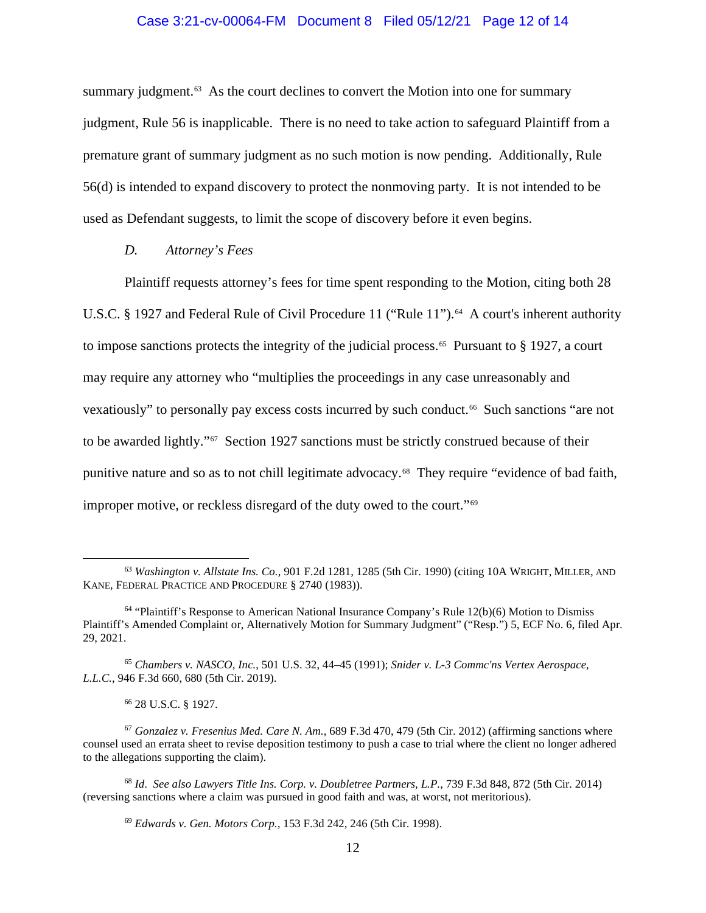## Case 3:21-cv-00064-FM Document 8 Filed 05/12/21 Page 12 of 14

summary judgment.<sup>63</sup> As the court declines to convert the Motion into one for summary judgment, Rule 56 is inapplicable. There is no need to take action to safeguard Plaintiff from a premature grant of summary judgment as no such motion is now pending. Additionally, Rule 56(d) is intended to expand discovery to protect the nonmoving party. It is not intended to be used as Defendant suggests, to limit the scope of discovery before it even begins.

## *D. Attorney's Fees*

Plaintiff requests attorney's fees for time spent responding to the Motion, citing both 28 U.S.C. § 1927 and Federal Rule of Civil Procedure 11 ("Rule 11").<sup>64</sup> A court's inherent authority to impose sanctions protects the integrity of the judicial process.<sup>65</sup> Pursuant to  $\S$  1927, a court may require any attorney who "multiplies the proceedings in any case unreasonably and vexatiously" to personally pay excess costs incurred by such conduct.<sup>66</sup> Such sanctions "are not to be awarded lightly."<sup>67</sup> Section 1927 sanctions must be strictly construed because of their punitive nature and so as to not chill legitimate advocacy.68 They require "evidence of bad faith, improper motive, or reckless disregard of the duty owed to the court."69

<sup>63</sup> *Washington v. Allstate Ins. Co.*, 901 F.2d 1281, 1285 (5th Cir. 1990) (citing 10A WRIGHT, MILLER, AND KANE, FEDERAL PRACTICE AND PROCEDURE § 2740 (1983)).

<sup>64</sup> "Plaintiff's Response to American National Insurance Company's Rule 12(b)(6) Motion to Dismiss Plaintiff's Amended Complaint or, Alternatively Motion for Summary Judgment" ("Resp.") 5, ECF No. 6, filed Apr. 29, 2021.

<sup>65</sup> *Chambers v. NASCO, Inc.*, 501 U.S. 32, 44–45 (1991); *Snider v. L-3 Commc'ns Vertex Aerospace, L.L.C.*, 946 F.3d 660, 680 (5th Cir. 2019).

<sup>66</sup> 28 U.S.C. § 1927.

<sup>67</sup> *Gonzalez v. Fresenius Med. Care N. Am.*, 689 F.3d 470, 479 (5th Cir. 2012) (affirming sanctions where counsel used an errata sheet to revise deposition testimony to push a case to trial where the client no longer adhered to the allegations supporting the claim).

<sup>68</sup> *Id*. *See also Lawyers Title Ins. Corp. v. Doubletree Partners, L.P.*, 739 F.3d 848, 872 (5th Cir. 2014) (reversing sanctions where a claim was pursued in good faith and was, at worst, not meritorious).

<sup>69</sup> *Edwards v. Gen. Motors Corp.,* 153 F.3d 242, 246 (5th Cir. 1998).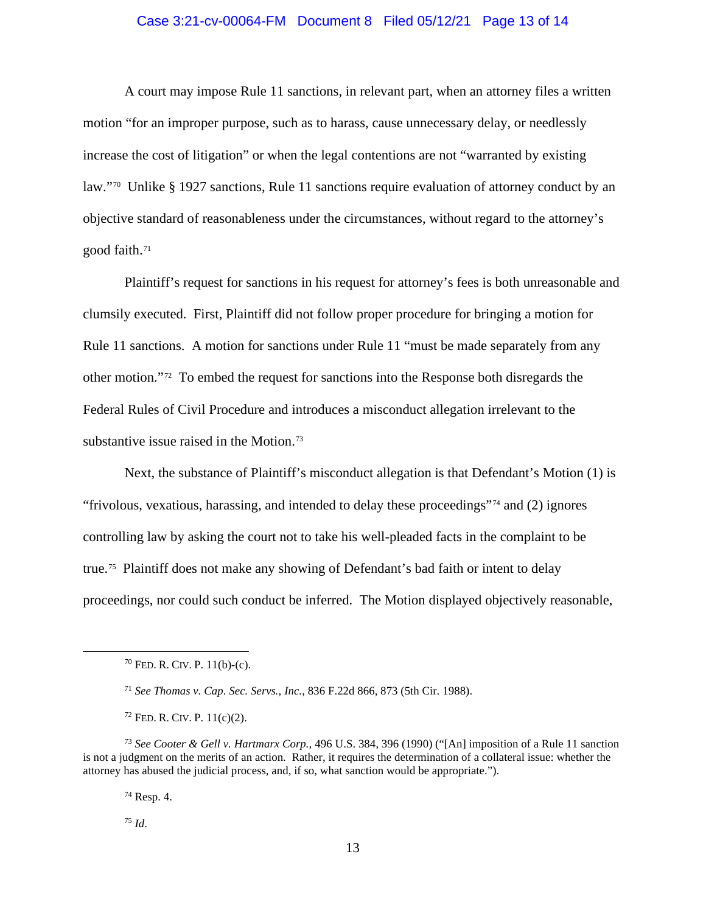## Case 3:21-cv-00064-FM Document 8 Filed 05/12/21 Page 13 of 14

 A court may impose Rule 11 sanctions, in relevant part, when an attorney files a written motion "for an improper purpose, such as to harass, cause unnecessary delay, or needlessly increase the cost of litigation" or when the legal contentions are not "warranted by existing law."70 Unlike § 1927 sanctions, Rule 11 sanctions require evaluation of attorney conduct by an objective standard of reasonableness under the circumstances, without regard to the attorney's good faith.<sup>71</sup>

Plaintiff's request for sanctions in his request for attorney's fees is both unreasonable and clumsily executed. First, Plaintiff did not follow proper procedure for bringing a motion for Rule 11 sanctions. A motion for sanctions under Rule 11 "must be made separately from any other motion."72 To embed the request for sanctions into the Response both disregards the Federal Rules of Civil Procedure and introduces a misconduct allegation irrelevant to the substantive issue raised in the Motion.<sup>73</sup>

 Next, the substance of Plaintiff's misconduct allegation is that Defendant's Motion (1) is "frivolous, vexatious, harassing, and intended to delay these proceedings"<sup>74</sup> and  $(2)$  ignores controlling law by asking the court not to take his well-pleaded facts in the complaint to be true.75 Plaintiff does not make any showing of Defendant's bad faith or intent to delay proceedings, nor could such conduct be inferred. The Motion displayed objectively reasonable,

<sup>74</sup> Resp. 4.

<sup>75</sup> *Id*.

 $70$  FED. R. CIV. P. 11(b)-(c).

<sup>71</sup> *See Thomas v. Cap. Sec. Servs., Inc.*, 836 F.22d 866, 873 (5th Cir. 1988).

<sup>72</sup> FED. R. CIV. P. 11(c)(2).

<sup>73</sup> *See Cooter & Gell v. Hartmarx Corp.,* 496 U.S. 384, 396 (1990) ("[An] imposition of a Rule 11 sanction is not a judgment on the merits of an action. Rather, it requires the determination of a collateral issue: whether the attorney has abused the judicial process, and, if so, what sanction would be appropriate.").